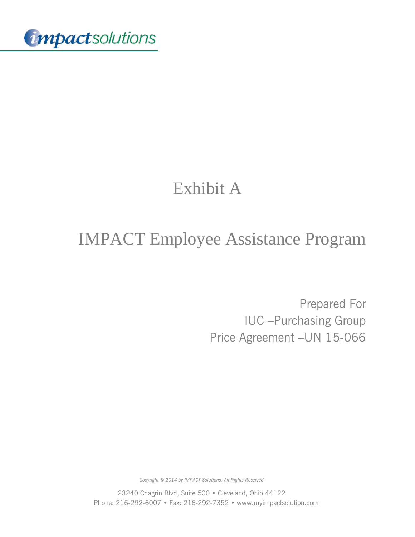

# Exhibit A

# IMPACT Employee Assistance Program

Prepared For IUC –Purchasing Group Price Agreement –UN 15-066

*Copyright © 2014 by IMPACT Solutions, All Rights Reserved*

23240 Chagrin Blvd, Suite 500 • Cleveland, Ohio 44122 Phone: 216-292-6007 • Fax: 216-292-7352 • www.myimpactsolution.com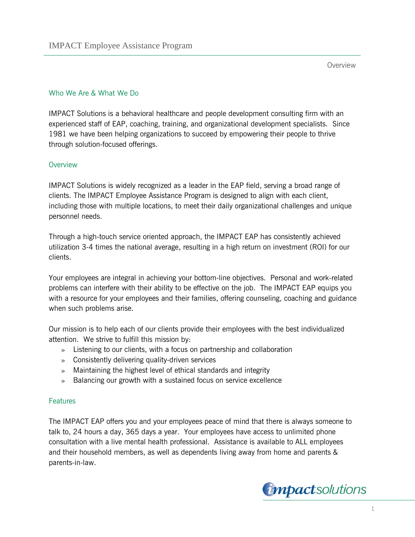## Who We Are & What We Do

IMPACT Solutions is a behavioral healthcare and people development consulting firm with an experienced staff of EAP, coaching, training, and organizational development specialists. Since 1981 we have been helping organizations to succeed by empowering their people to thrive through solution-focused offerings.

#### **Overview**

IMPACT Solutions is widely recognized as a leader in the EAP field, serving a broad range of clients. The IMPACT Employee Assistance Program is designed to align with each client, including those with multiple locations, to meet their daily organizational challenges and unique personnel needs.

Through a high-touch service oriented approach, the IMPACT EAP has consistently achieved utilization 3-4 times the national average, resulting in a high return on investment (ROI) for our clients.

Your employees are integral in achieving your bottom-line objectives. Personal and work-related problems can interfere with their ability to be effective on the job. The IMPACT EAP equips you with a resource for your employees and their families, offering counseling, coaching and guidance when such problems arise.

Our mission is to help each of our clients provide their employees with the best individualized attention. We strive to fulfill this mission by:

- » Listening to our clients, with a focus on partnership and collaboration
- » Consistently delivering quality-driven services
- » Maintaining the highest level of ethical standards and integrity
- » Balancing our growth with a sustained focus on service excellence

#### **Features**

The IMPACT EAP offers you and your employees peace of mind that there is always someone to talk to, 24 hours a day, 365 days a year. Your employees have access to unlimited phone consultation with a live mental health professional. Assistance is available to ALL employees and their household members, as well as dependents living away from home and parents & parents-in-law.

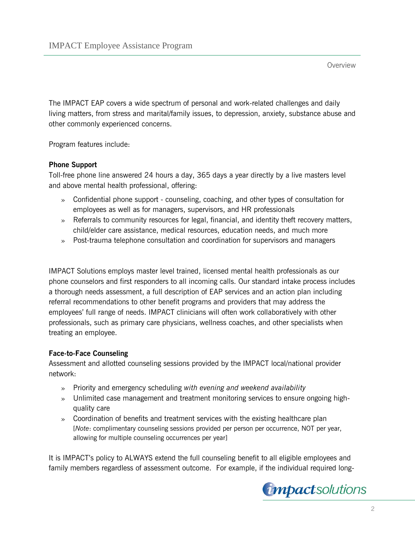The IMPACT EAP covers a wide spectrum of personal and work-related challenges and daily living matters, from stress and marital/family issues, to depression, anxiety, substance abuse and other commonly experienced concerns.

Program features include:

# **Phone Support**

Toll-free phone line answered 24 hours a day, 365 days a year directly by a live masters level and above mental health professional, offering:

- » Confidential phone support counseling, coaching, and other types of consultation for employees as well as for managers, supervisors, and HR professionals
- » Referrals to community resources for legal, financial, and identity theft recovery matters, child/elder care assistance, medical resources, education needs, and much more
- » Post-trauma telephone consultation and coordination for supervisors and managers

IMPACT Solutions employs master level trained, licensed mental health professionals as our phone counselors and first responders to all incoming calls. Our standard intake process includes a thorough needs assessment, a full description of EAP services and an action plan including referral recommendations to other benefit programs and providers that may address the employees' full range of needs. IMPACT clinicians will often work collaboratively with other professionals, such as primary care physicians, wellness coaches, and other specialists when treating an employee.

## **Face-to-Face Counseling**

Assessment and allotted counseling sessions provided by the IMPACT local/national provider network:

- » Priority and emergency scheduling *with evening and weekend availability*
- » Unlimited case management and treatment monitoring services to ensure ongoing highquality care
- » Coordination of benefits and treatment services with the existing healthcare plan [*Note*: complimentary counseling sessions provided per person per occurrence, NOT per year, allowing for multiple counseling occurrences per year]

It is IMPACT's policy to ALWAYS extend the full counseling benefit to all eligible employees and family members regardless of assessment outcome. For example, if the individual required long-

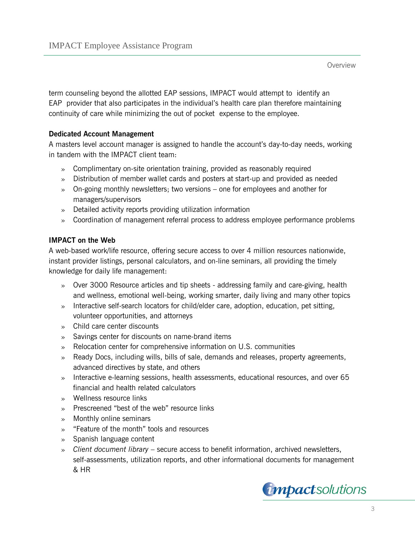term counseling beyond the allotted EAP sessions, IMPACT would attempt to identify an EAP provider that also participates in the individual's health care plan therefore maintaining continuity of care while minimizing the out of pocket expense to the employee.

#### **Dedicated Account Management**

A masters level account manager is assigned to handle the account's day-to-day needs, working in tandem with the IMPACT client team:

- » Complimentary on-site orientation training, provided as reasonably required
- » Distribution of member wallet cards and posters at start-up and provided as needed
- » On-going monthly newsletters; two versions one for employees and another for managers/supervisors
- » Detailed activity reports providing utilization information
- » Coordination of management referral process to address employee performance problems

#### **IMPACT on the Web**

A web-based work/life resource, offering secure access to over 4 million resources nationwide, instant provider listings, personal calculators, and on-line seminars, all providing the timely knowledge for daily life management:

- » Over 3000 Resource articles and tip sheets addressing family and care-giving, health and wellness, emotional well-being, working smarter, daily living and many other topics
- » Interactive self-search locators for child/elder care, adoption, education, pet sitting, volunteer opportunities, and attorneys
- » Child care center discounts
- » Savings center for discounts on name-brand items
- » Relocation center for comprehensive information on U.S. communities
- » Ready Docs, including wills, bills of sale, demands and releases, property agreements, advanced directives by state, and others
- » Interactive e-learning sessions, health assessments, educational resources, and over 65 financial and health related calculators
- » Wellness resource links
- » Prescreened "best of the web" resource links
- » Monthly online seminars
- » "Feature of the month" tools and resources
- » Spanish language content
- » *Client document library* secure access to benefit information, archived newsletters, self-assessments, utilization reports, and other informational documents for management & HR

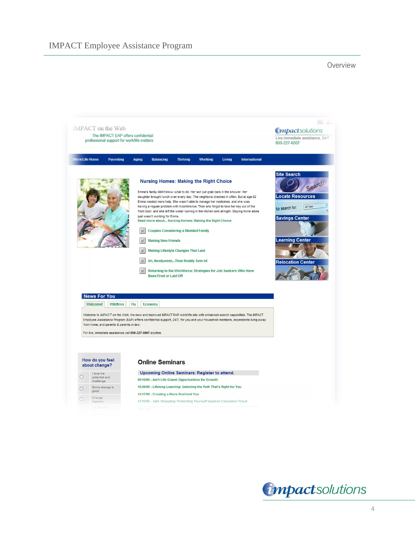

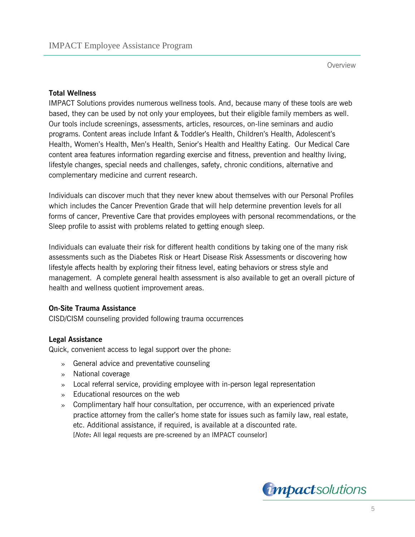#### **Total Wellness**

IMPACT Solutions provides numerous wellness tools. And, because many of these tools are web based, they can be used by not only your employees, but their eligible family members as well. Our tools include screenings, assessments, articles, resources, on-line seminars and audio programs. Content areas include Infant & Toddler's Health, Children's Health, Adolescent's Health, Women's Health, Men's Health, Senior's Health and Healthy Eating. Our Medical Care content area features information regarding exercise and fitness, prevention and healthy living, lifestyle changes, special needs and challenges, safety, chronic conditions, alternative and complementary medicine and current research.

Individuals can discover much that they never knew about themselves with our Personal Profiles which includes the Cancer Prevention Grade that will help determine prevention levels for all forms of cancer, Preventive Care that provides employees with personal recommendations, or the Sleep profile to assist with problems related to getting enough sleep.

Individuals can evaluate their risk for different health conditions by taking one of the many risk assessments such as the Diabetes Risk or Heart Disease Risk Assessments or discovering how lifestyle affects health by exploring their fitness level, eating behaviors or stress style and management. A complete general health assessment is also available to get an overall picture of health and wellness quotient improvement areas.

#### **On-Site Trauma Assistance**

CISD/CISM counseling provided following trauma occurrences

## **Legal Assistance**

Quick, convenient access to legal support over the phone:

- » General advice and preventative counseling
- » National coverage
- » Local referral service, providing employee with in-person legal representation
- » Educational resources on the web
- » Complimentary half hour consultation, per occurrence, with an experienced private practice attorney from the caller's home state for issues such as family law, real estate, etc. Additional assistance, if required, is available at a discounted rate. [*Note***:** All legal requests are pre-screened by an IMPACT counselor]

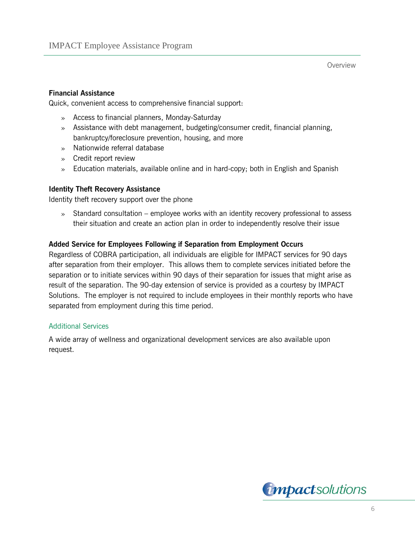#### **Financial Assistance**

Quick, convenient access to comprehensive financial support:

- » Access to financial planners, Monday-Saturday
- » Assistance with debt management, budgeting/consumer credit, financial planning, bankruptcy/foreclosure prevention, housing, and more
- » Nationwide referral database
- » Credit report review
- » Education materials, available online and in hard-copy; both in English and Spanish

#### **Identity Theft Recovery Assistance**

Identity theft recovery support over the phone

» Standard consultation – employee works with an identity recovery professional to assess their situation and create an action plan in order to independently resolve their issue

#### **Added Service for Employees Following if Separation from Employment Occurs**

Regardless of COBRA participation, all individuals are eligible for IMPACT services for 90 days after separation from their employer. This allows them to complete services initiated before the separation or to initiate services within 90 days of their separation for issues that might arise as result of the separation. The 90-day extension of service is provided as a courtesy by IMPACT Solutions. The employer is not required to include employees in their monthly reports who have separated from employment during this time period.

#### Additional Services

A wide array of wellness and organizational development services are also available upon request.